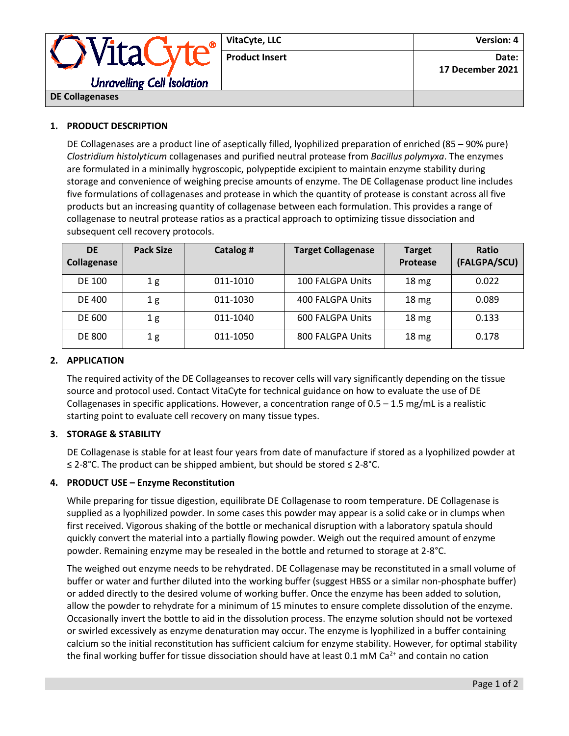

## **1. PRODUCT DESCRIPTION**

DE Collagenases are a product line of aseptically filled, lyophilized preparation of enriched (85 – 90% pure) *Clostridium histolyticum* collagenases and purified neutral protease from *Bacillus polymyxa*. The enzymes are formulated in a minimally hygroscopic, polypeptide excipient to maintain enzyme stability during storage and convenience of weighing precise amounts of enzyme. The DE Collagenase product line includes five formulations of collagenases and protease in which the quantity of protease is constant across all five products but an increasing quantity of collagenase between each formulation. This provides a range of collagenase to neutral protease ratios as a practical approach to optimizing tissue dissociation and subsequent cell recovery protocols.

| <b>DE</b><br>Collagenase | <b>Pack Size</b> | Catalog # | <b>Target Collagenase</b> | <b>Target</b><br>Protease | Ratio<br>(FALGPA/SCU) |
|--------------------------|------------------|-----------|---------------------------|---------------------------|-----------------------|
| DE 100                   | 1g               | 011-1010  | 100 FALGPA Units          | 18 <sub>mg</sub>          | 0.022                 |
| DE 400                   | 1g               | 011-1030  | 400 FALGPA Units          | 18 <sub>mg</sub>          | 0.089                 |
| <b>DE 600</b>            | 1g               | 011-1040  | 600 FALGPA Units          | 18 <sub>mg</sub>          | 0.133                 |
| <b>DE 800</b>            | 1 g              | 011-1050  | 800 FALGPA Units          | 18 <sub>mg</sub>          | 0.178                 |

## **2. APPLICATION**

The required activity of the DE Collageanses to recover cells will vary significantly depending on the tissue source and protocol used. Contact VitaCyte for technical guidance on how to evaluate the use of DE Collagenases in specific applications. However, a concentration range of  $0.5 - 1.5$  mg/mL is a realistic starting point to evaluate cell recovery on many tissue types.

# **3. STORAGE & STABILITY**

DE Collagenase is stable for at least four years from date of manufacture if stored as a lyophilized powder at ≤ 2-8°C. The product can be shipped ambient, but should be stored ≤ 2-8°C.

#### **4. PRODUCT USE – Enzyme Reconstitution**

While preparing for tissue digestion, equilibrate DE Collagenase to room temperature. DE Collagenase is supplied as a lyophilized powder. In some cases this powder may appear is a solid cake or in clumps when first received. Vigorous shaking of the bottle or mechanical disruption with a laboratory spatula should quickly convert the material into a partially flowing powder. Weigh out the required amount of enzyme powder. Remaining enzyme may be resealed in the bottle and returned to storage at 2-8°C.

The weighed out enzyme needs to be rehydrated. DE Collagenase may be reconstituted in a small volume of buffer or water and further diluted into the working buffer (suggest HBSS or a similar non-phosphate buffer) or added directly to the desired volume of working buffer. Once the enzyme has been added to solution, allow the powder to rehydrate for a minimum of 15 minutes to ensure complete dissolution of the enzyme. Occasionally invert the bottle to aid in the dissolution process. The enzyme solution should not be vortexed or swirled excessively as enzyme denaturation may occur. The enzyme is lyophilized in a buffer containing calcium so the initial reconstitution has sufficient calcium for enzyme stability. However, for optimal stability the final working buffer for tissue dissociation should have at least 0.1 mM Ca<sup>2+</sup> and contain no cation